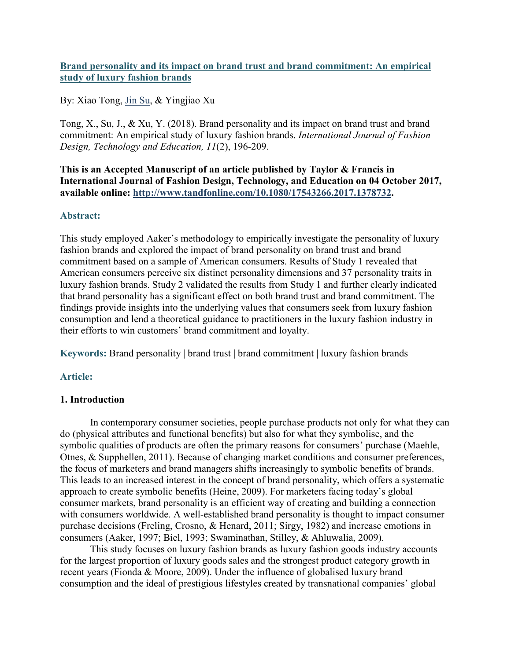# **Brand personality and its impact on brand trust and brand commitment: An empirical study of luxury fashion brands**

By: Xiao Tong, [Jin Su,](http://libres.uncg.edu/ir/uncg/clist.aspx?id=13707) & Yingjiao Xu

Tong, X., Su, J., & Xu, Y. (2018). Brand personality and its impact on brand trust and brand commitment: An empirical study of luxury fashion brands. *International Journal of Fashion Design, Technology and Education, 11*(2), 196-209.

**This is an Accepted Manuscript of an article published by Taylor & Francis in International Journal of Fashion Design, Technology, and Education on 04 October 2017, available online: [http://www.tandfonline.com/10.1080/17543266.2017.1378732.](http://www.tandfonline.com/10.1080/17543266.2017.1378732)**

# **Abstract:**

This study employed Aaker's methodology to empirically investigate the personality of luxury fashion brands and explored the impact of brand personality on brand trust and brand commitment based on a sample of American consumers. Results of Study 1 revealed that American consumers perceive six distinct personality dimensions and 37 personality traits in luxury fashion brands. Study 2 validated the results from Study 1 and further clearly indicated that brand personality has a significant effect on both brand trust and brand commitment. The findings provide insights into the underlying values that consumers seek from luxury fashion consumption and lend a theoretical guidance to practitioners in the luxury fashion industry in their efforts to win customers' brand commitment and loyalty.

**Keywords:** Brand personality | brand trust | brand commitment | luxury fashion brands

# **Article:**

# **1. Introduction**

In contemporary consumer societies, people purchase products not only for what they can do (physical attributes and functional benefits) but also for what they symbolise, and the symbolic qualities of products are often the primary reasons for consumers' purchase (Maehle, Otnes, & Supphellen, 2011). Because of changing market conditions and consumer preferences, the focus of marketers and brand managers shifts increasingly to symbolic benefits of brands. This leads to an increased interest in the concept of brand personality, which offers a systematic approach to create symbolic benefits (Heine, 2009). For marketers facing today's global consumer markets, brand personality is an efficient way of creating and building a connection with consumers worldwide. A well-established brand personality is thought to impact consumer purchase decisions (Freling, Crosno, & Henard, 2011; Sirgy, 1982) and increase emotions in consumers (Aaker, 1997; Biel, 1993; Swaminathan, Stilley, & Ahluwalia, 2009).

This study focuses on luxury fashion brands as luxury fashion goods industry accounts for the largest proportion of luxury goods sales and the strongest product category growth in recent years (Fionda & Moore, 2009). Under the influence of globalised luxury brand consumption and the ideal of prestigious lifestyles created by transnational companies' global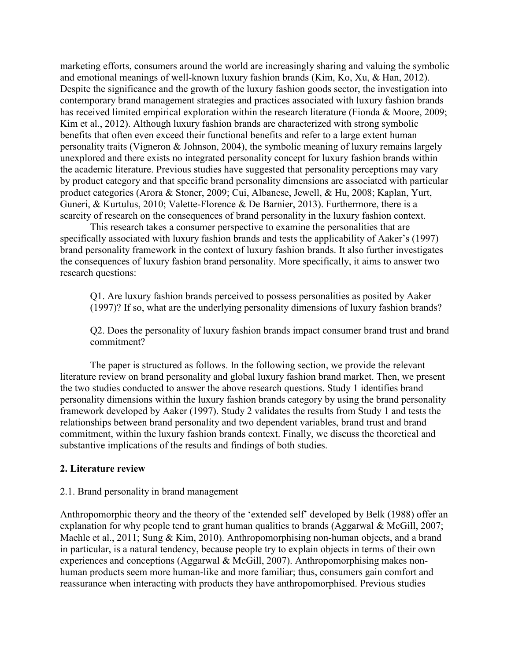marketing efforts, consumers around the world are increasingly sharing and valuing the symbolic and emotional meanings of well-known luxury fashion brands (Kim, Ko, Xu, & Han, 2012). Despite the significance and the growth of the luxury fashion goods sector, the investigation into contemporary brand management strategies and practices associated with luxury fashion brands has received limited empirical exploration within the research literature (Fionda & Moore, 2009; Kim et al., 2012). Although luxury fashion brands are characterized with strong symbolic benefits that often even exceed their functional benefits and refer to a large extent human personality traits (Vigneron & Johnson, 2004), the symbolic meaning of luxury remains largely unexplored and there exists no integrated personality concept for luxury fashion brands within the academic literature. Previous studies have suggested that personality perceptions may vary by product category and that specific brand personality dimensions are associated with particular product categories (Arora & Stoner, 2009; Cui, Albanese, Jewell, & Hu, 2008; Kaplan, Yurt, Guneri, & Kurtulus, 2010; Valette-Florence & De Barnier, 2013). Furthermore, there is a scarcity of research on the consequences of brand personality in the luxury fashion context.

This research takes a consumer perspective to examine the personalities that are specifically associated with luxury fashion brands and tests the applicability of Aaker's (1997) brand personality framework in the context of luxury fashion brands. It also further investigates the consequences of luxury fashion brand personality. More specifically, it aims to answer two research questions:

Q1. Are luxury fashion brands perceived to possess personalities as posited by Aaker (1997)? If so, what are the underlying personality dimensions of luxury fashion brands?

Q2. Does the personality of luxury fashion brands impact consumer brand trust and brand commitment?

The paper is structured as follows. In the following section, we provide the relevant literature review on brand personality and global luxury fashion brand market. Then, we present the two studies conducted to answer the above research questions. Study 1 identifies brand personality dimensions within the luxury fashion brands category by using the brand personality framework developed by Aaker (1997). Study 2 validates the results from Study 1 and tests the relationships between brand personality and two dependent variables, brand trust and brand commitment, within the luxury fashion brands context. Finally, we discuss the theoretical and substantive implications of the results and findings of both studies.

## **2. Literature review**

#### 2.1. Brand personality in brand management

Anthropomorphic theory and the theory of the 'extended self' developed by Belk (1988) offer an explanation for why people tend to grant human qualities to brands (Aggarwal & McGill, 2007; Maehle et al., 2011; Sung & Kim, 2010). Anthropomorphising non-human objects, and a brand in particular, is a natural tendency, because people try to explain objects in terms of their own experiences and conceptions (Aggarwal & McGill, 2007). Anthropomorphising makes nonhuman products seem more human-like and more familiar; thus, consumers gain comfort and reassurance when interacting with products they have anthropomorphised. Previous studies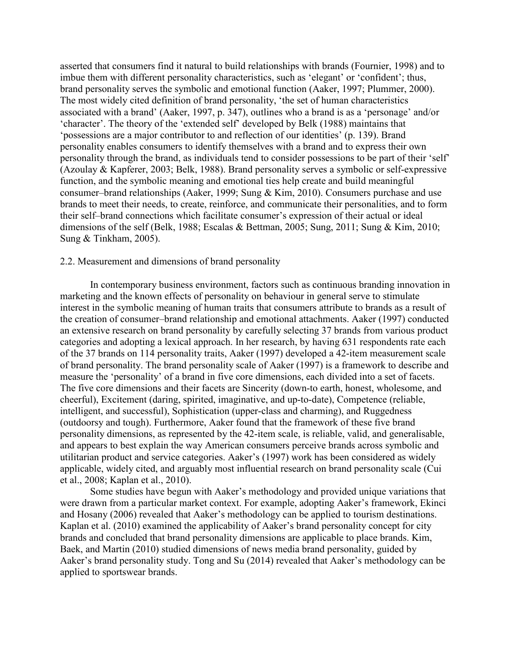asserted that consumers find it natural to build relationships with brands (Fournier, 1998) and to imbue them with different personality characteristics, such as 'elegant' or 'confident'; thus, brand personality serves the symbolic and emotional function (Aaker, 1997; Plummer, 2000). The most widely cited definition of brand personality, 'the set of human characteristics associated with a brand' (Aaker, 1997, p. 347), outlines who a brand is as a 'personage' and/or 'character'. The theory of the 'extended self' developed by Belk (1988) maintains that 'possessions are a major contributor to and reflection of our identities' (p. 139). Brand personality enables consumers to identify themselves with a brand and to express their own personality through the brand, as individuals tend to consider possessions to be part of their 'self' (Azoulay & Kapferer, 2003; Belk, 1988). Brand personality serves a symbolic or self-expressive function, and the symbolic meaning and emotional ties help create and build meaningful consumer–brand relationships (Aaker, 1999; Sung & Kim, 2010). Consumers purchase and use brands to meet their needs, to create, reinforce, and communicate their personalities, and to form their self–brand connections which facilitate consumer's expression of their actual or ideal dimensions of the self (Belk, 1988; Escalas & Bettman, 2005; Sung, 2011; Sung & Kim, 2010; Sung & Tinkham, 2005).

#### 2.2. Measurement and dimensions of brand personality

In contemporary business environment, factors such as continuous branding innovation in marketing and the known effects of personality on behaviour in general serve to stimulate interest in the symbolic meaning of human traits that consumers attribute to brands as a result of the creation of consumer–brand relationship and emotional attachments. Aaker (1997) conducted an extensive research on brand personality by carefully selecting 37 brands from various product categories and adopting a lexical approach. In her research, by having 631 respondents rate each of the 37 brands on 114 personality traits, Aaker (1997) developed a 42-item measurement scale of brand personality. The brand personality scale of Aaker (1997) is a framework to describe and measure the 'personality' of a brand in five core dimensions, each divided into a set of facets. The five core dimensions and their facets are Sincerity (down-to earth, honest, wholesome, and cheerful), Excitement (daring, spirited, imaginative, and up-to-date), Competence (reliable, intelligent, and successful), Sophistication (upper-class and charming), and Ruggedness (outdoorsy and tough). Furthermore, Aaker found that the framework of these five brand personality dimensions, as represented by the 42-item scale, is reliable, valid, and generalisable, and appears to best explain the way American consumers perceive brands across symbolic and utilitarian product and service categories. Aaker's (1997) work has been considered as widely applicable, widely cited, and arguably most influential research on brand personality scale (Cui et al., 2008; Kaplan et al., 2010).

Some studies have begun with Aaker's methodology and provided unique variations that were drawn from a particular market context. For example, adopting Aaker's framework, Ekinci and Hosany (2006) revealed that Aaker's methodology can be applied to tourism destinations. Kaplan et al. (2010) examined the applicability of Aaker's brand personality concept for city brands and concluded that brand personality dimensions are applicable to place brands. Kim, Baek, and Martin (2010) studied dimensions of news media brand personality, guided by Aaker's brand personality study. Tong and Su (2014) revealed that Aaker's methodology can be applied to sportswear brands.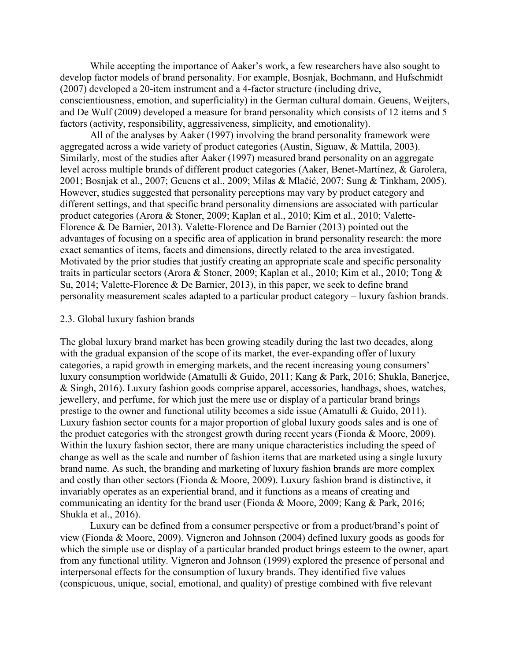While accepting the importance of Aaker's work, a few researchers have also sought to develop factor models of brand personality. For example, Bosnjak, Bochmann, and Hufschmidt (2007) developed a 20-item instrument and a 4-factor structure (including drive, conscientiousness, emotion, and superficiality) in the German cultural domain. Geuens, Weijters, and De Wulf (2009) developed a measure for brand personality which consists of 12 items and 5 factors (activity, responsibility, aggressiveness, simplicity, and emotionality).

All of the analyses by Aaker (1997) involving the brand personality framework were aggregated across a wide variety of product categories (Austin, Siguaw, & Mattila, 2003). Similarly, most of the studies after Aaker (1997) measured brand personality on an aggregate level across multiple brands of different product categories (Aaker, Benet-Martínez, & Garolera, 2001; Bosnjak et al., 2007; Geuens et al., 2009; Milas & Mlačić, 2007; Sung & Tinkham, 2005). However, studies suggested that personality perceptions may vary by product category and different settings, and that specific brand personality dimensions are associated with particular product categories (Arora & Stoner, 2009; Kaplan et al., 2010; Kim et al., 2010; Valette-Florence & De Barnier, 2013). Valette-Florence and De Barnier (2013) pointed out the advantages of focusing on a specific area of application in brand personality research: the more exact semantics of items, facets and dimensions, directly related to the area investigated. Motivated by the prior studies that justify creating an appropriate scale and specific personality traits in particular sectors (Arora & Stoner, 2009; Kaplan et al., 2010; Kim et al., 2010; Tong & Su, 2014; Valette-Florence & De Barnier, 2013), in this paper, we seek to define brand personality measurement scales adapted to a particular product category – luxury fashion brands.

#### 2.3. Global luxury fashion brands

The global luxury brand market has been growing steadily during the last two decades, along with the gradual expansion of the scope of its market, the ever-expanding offer of luxury categories, a rapid growth in emerging markets, and the recent increasing young consumers' luxury consumption worldwide (Amatulli & Guido, 2011; Kang & Park, 2016; Shukla, Banerjee, & Singh, 2016). Luxury fashion goods comprise apparel, accessories, handbags, shoes, watches, jewellery, and perfume, for which just the mere use or display of a particular brand brings prestige to the owner and functional utility becomes a side issue (Amatulli & Guido, 2011). Luxury fashion sector counts for a major proportion of global luxury goods sales and is one of the product categories with the strongest growth during recent years (Fionda & Moore, 2009). Within the luxury fashion sector, there are many unique characteristics including the speed of change as well as the scale and number of fashion items that are marketed using a single luxury brand name. As such, the branding and marketing of luxury fashion brands are more complex and costly than other sectors (Fionda & Moore, 2009). Luxury fashion brand is distinctive, it invariably operates as an experiential brand, and it functions as a means of creating and communicating an identity for the brand user (Fionda & Moore, 2009; Kang & Park, 2016; Shukla et al., 2016).

Luxury can be defined from a consumer perspective or from a product/brand's point of view (Fionda & Moore, 2009). Vigneron and Johnson (2004) defined luxury goods as goods for which the simple use or display of a particular branded product brings esteem to the owner, apart from any functional utility. Vigneron and Johnson (1999) explored the presence of personal and interpersonal effects for the consumption of luxury brands. They identified five values (conspicuous, unique, social, emotional, and quality) of prestige combined with five relevant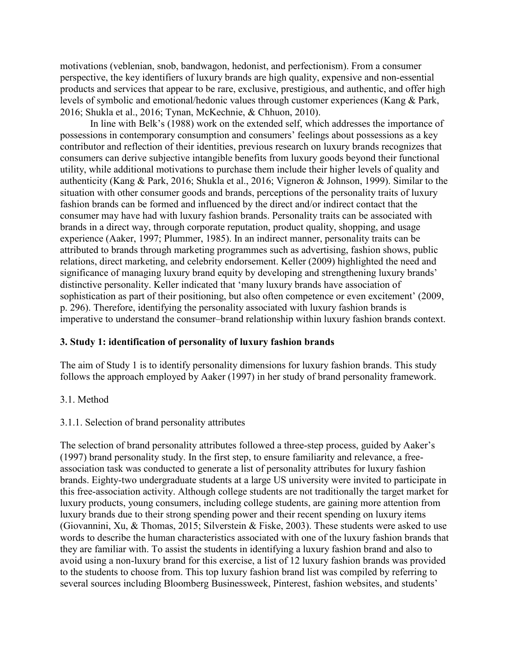motivations (veblenian, snob, bandwagon, hedonist, and perfectionism). From a consumer perspective, the key identifiers of luxury brands are high quality, expensive and non-essential products and services that appear to be rare, exclusive, prestigious, and authentic, and offer high levels of symbolic and emotional/hedonic values through customer experiences (Kang & Park, 2016; Shukla et al., 2016; Tynan, McKechnie, & Chhuon, 2010).

In line with Belk's (1988) work on the extended self, which addresses the importance of possessions in contemporary consumption and consumers' feelings about possessions as a key contributor and reflection of their identities, previous research on luxury brands recognizes that consumers can derive subjective intangible benefits from luxury goods beyond their functional utility, while additional motivations to purchase them include their higher levels of quality and authenticity (Kang & Park, 2016; Shukla et al., 2016; Vigneron & Johnson, 1999). Similar to the situation with other consumer goods and brands, perceptions of the personality traits of luxury fashion brands can be formed and influenced by the direct and/or indirect contact that the consumer may have had with luxury fashion brands. Personality traits can be associated with brands in a direct way, through corporate reputation, product quality, shopping, and usage experience (Aaker, 1997; Plummer, 1985). In an indirect manner, personality traits can be attributed to brands through marketing programmes such as advertising, fashion shows, public relations, direct marketing, and celebrity endorsement. Keller (2009) highlighted the need and significance of managing luxury brand equity by developing and strengthening luxury brands' distinctive personality. Keller indicated that 'many luxury brands have association of sophistication as part of their positioning, but also often competence or even excitement' (2009, p. 296). Therefore, identifying the personality associated with luxury fashion brands is imperative to understand the consumer–brand relationship within luxury fashion brands context.

# **3. Study 1: identification of personality of luxury fashion brands**

The aim of Study 1 is to identify personality dimensions for luxury fashion brands. This study follows the approach employed by Aaker (1997) in her study of brand personality framework.

# 3.1. Method

## 3.1.1. Selection of brand personality attributes

The selection of brand personality attributes followed a three-step process, guided by Aaker's (1997) brand personality study. In the first step, to ensure familiarity and relevance, a freeassociation task was conducted to generate a list of personality attributes for luxury fashion brands. Eighty-two undergraduate students at a large US university were invited to participate in this free-association activity. Although college students are not traditionally the target market for luxury products, young consumers, including college students, are gaining more attention from luxury brands due to their strong spending power and their recent spending on luxury items (Giovannini, Xu, & Thomas, 2015; Silverstein & Fiske, 2003). These students were asked to use words to describe the human characteristics associated with one of the luxury fashion brands that they are familiar with. To assist the students in identifying a luxury fashion brand and also to avoid using a non-luxury brand for this exercise, a list of 12 luxury fashion brands was provided to the students to choose from. This top luxury fashion brand list was compiled by referring to several sources including Bloomberg Businessweek, Pinterest, fashion websites, and students'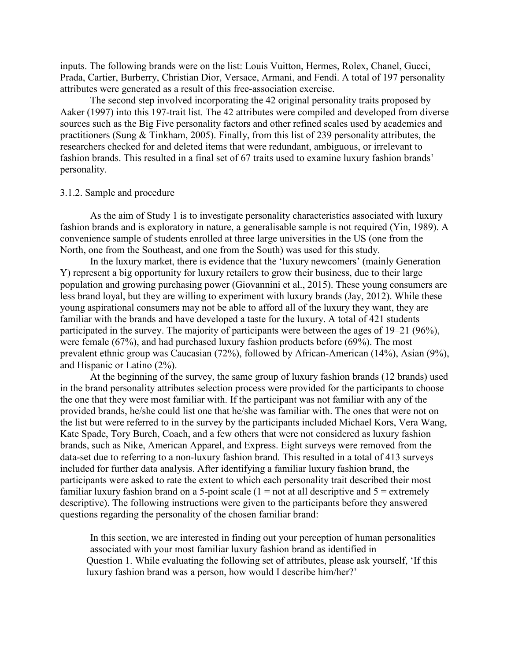inputs. The following brands were on the list: Louis Vuitton, Hermes, Rolex, Chanel, Gucci, Prada, Cartier, Burberry, Christian Dior, Versace, Armani, and Fendi. A total of 197 personality attributes were generated as a result of this free-association exercise.

The second step involved incorporating the 42 original personality traits proposed by Aaker (1997) into this 197-trait list. The 42 attributes were compiled and developed from diverse sources such as the Big Five personality factors and other refined scales used by academics and practitioners (Sung & Tinkham, 2005). Finally, from this list of 239 personality attributes, the researchers checked for and deleted items that were redundant, ambiguous, or irrelevant to fashion brands. This resulted in a final set of 67 traits used to examine luxury fashion brands' personality.

#### 3.1.2. Sample and procedure

As the aim of Study 1 is to investigate personality characteristics associated with luxury fashion brands and is exploratory in nature, a generalisable sample is not required (Yin, 1989). A convenience sample of students enrolled at three large universities in the US (one from the North, one from the Southeast, and one from the South) was used for this study.

In the luxury market, there is evidence that the 'luxury newcomers' (mainly Generation Y) represent a big opportunity for luxury retailers to grow their business, due to their large population and growing purchasing power (Giovannini et al., 2015). These young consumers are less brand loyal, but they are willing to experiment with luxury brands (Jay, 2012). While these young aspirational consumers may not be able to afford all of the luxury they want, they are familiar with the brands and have developed a taste for the luxury. A total of 421 students participated in the survey. The majority of participants were between the ages of 19–21 (96%), were female (67%), and had purchased luxury fashion products before (69%). The most prevalent ethnic group was Caucasian (72%), followed by African-American (14%), Asian (9%), and Hispanic or Latino (2%).

At the beginning of the survey, the same group of luxury fashion brands (12 brands) used in the brand personality attributes selection process were provided for the participants to choose the one that they were most familiar with. If the participant was not familiar with any of the provided brands, he/she could list one that he/she was familiar with. The ones that were not on the list but were referred to in the survey by the participants included Michael Kors, Vera Wang, Kate Spade, Tory Burch, Coach, and a few others that were not considered as luxury fashion brands, such as Nike, American Apparel, and Express. Eight surveys were removed from the data-set due to referring to a non-luxury fashion brand. This resulted in a total of 413 surveys included for further data analysis. After identifying a familiar luxury fashion brand, the participants were asked to rate the extent to which each personality trait described their most familiar luxury fashion brand on a 5-point scale  $(1 = not at all descriptive and 5 = extremely$ descriptive). The following instructions were given to the participants before they answered questions regarding the personality of the chosen familiar brand:

In this section, we are interested in finding out your perception of human personalities associated with your most familiar luxury fashion brand as identified in Question 1. While evaluating the following set of attributes, please ask yourself, 'If this luxury fashion brand was a person, how would I describe him/her?'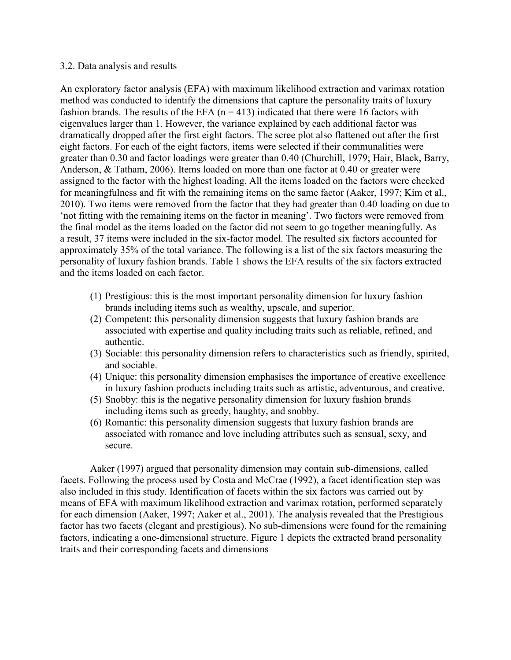## 3.2. Data analysis and results

An exploratory factor analysis (EFA) with maximum likelihood extraction and varimax rotation method was conducted to identify the dimensions that capture the personality traits of luxury fashion brands. The results of the EFA ( $n = 413$ ) indicated that there were 16 factors with eigenvalues larger than 1. However, the variance explained by each additional factor was dramatically dropped after the first eight factors. The scree plot also flattened out after the first eight factors. For each of the eight factors, items were selected if their communalities were greater than 0.30 and factor loadings were greater than 0.40 (Churchill, 1979; Hair, Black, Barry, Anderson, & Tatham, 2006). Items loaded on more than one factor at 0.40 or greater were assigned to the factor with the highest loading. All the items loaded on the factors were checked for meaningfulness and fit with the remaining items on the same factor (Aaker, 1997; Kim et al., 2010). Two items were removed from the factor that they had greater than 0.40 loading on due to 'not fitting with the remaining items on the factor in meaning'. Two factors were removed from the final model as the items loaded on the factor did not seem to go together meaningfully. As a result, 37 items were included in the six-factor model. The resulted six factors accounted for approximately 35% of the total variance. The following is a list of the six factors measuring the personality of luxury fashion brands. Table 1 shows the EFA results of the six factors extracted and the items loaded on each factor.

- (1) Prestigious: this is the most important personality dimension for luxury fashion brands including items such as wealthy, upscale, and superior.
- (2) Competent: this personality dimension suggests that luxury fashion brands are associated with expertise and quality including traits such as reliable, refined, and authentic.
- (3) Sociable: this personality dimension refers to characteristics such as friendly, spirited, and sociable.
- (4) Unique: this personality dimension emphasises the importance of creative excellence in luxury fashion products including traits such as artistic, adventurous, and creative.
- (5) Snobby: this is the negative personality dimension for luxury fashion brands including items such as greedy, haughty, and snobby.
- (6) Romantic: this personality dimension suggests that luxury fashion brands are associated with romance and love including attributes such as sensual, sexy, and secure.

Aaker (1997) argued that personality dimension may contain sub-dimensions, called facets. Following the process used by Costa and McCrae (1992), a facet identification step was also included in this study. Identification of facets within the six factors was carried out by means of EFA with maximum likelihood extraction and varimax rotation, performed separately for each dimension (Aaker, 1997; Aaker et al., 2001). The analysis revealed that the Prestigious factor has two facets (elegant and prestigious). No sub-dimensions were found for the remaining factors, indicating a one-dimensional structure. Figure 1 depicts the extracted brand personality traits and their corresponding facets and dimensions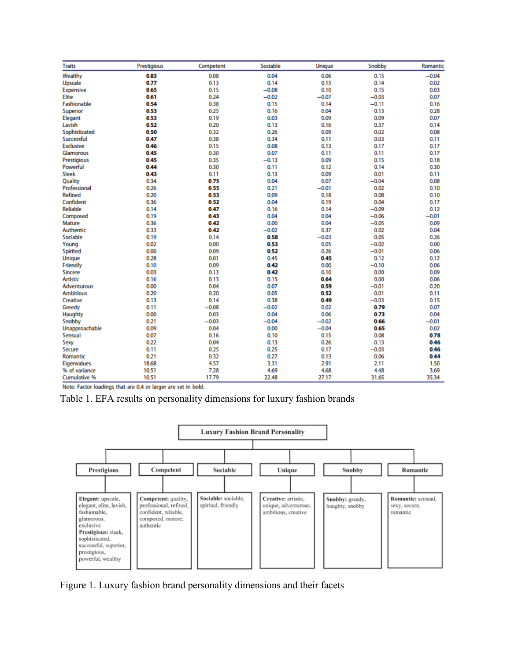| <b>Traits</b>      | <b>Prestigious</b> | Competent | Sociable | Unique  | Snobby  | Romantic |
|--------------------|--------------------|-----------|----------|---------|---------|----------|
| Wealthy            | 0.83               | 0.08      | 0.04     | 0.06    | 0.15    | $-0.04$  |
| Upscale            | 0.77               | 0.13      | 0.14     | 0.15    | 0.14    | 0.02     |
| <b>Expensive</b>   | 0.65               | 0.15      | $-0.08$  | 0.10    | 0.15    | 0.03     |
| Elite              | 0.61               | 0.24      | $-0.02$  | $-0.07$ | $-0.03$ | 0.07     |
| <b>Fashionable</b> | 0.54               | 0.38      | 0.15     | 0.14    | $-0.11$ | 0.16     |
| <b>Superior</b>    | 0.53               | 0.25      | 0.16     | 0.04    | 0.13    | 0.28     |
| Elegant            | 0.53               | 0.19      | 0.03     | 0.09    | 0.09    | 0.07     |
| Lavish             | 0.52               | 0.20      | 0.13     | 0.16    | 0.37    | 0.14     |
| Sophisticated      | 0.50               | 0.32      | 0.26     | 0.09    | 0.02    | 0.08     |
| Successful         | 0.47               | 0.38      | 0.34     | 0.11    | 0.03    | 0.11     |
| <b>Exclusive</b>   | 0.46               | 0.15      | 0.08     | 0.13    | 0.17    | 0.17     |
| Glamorous          | 0.45               | 0.30      | 0.07     | 0.11    | 0.11    | 0.17     |
| <b>Prestigious</b> | 0.45               | 0.35      | $-0.13$  | 0.09    | 0.15    | 0.18     |
| Powerful           | 0.44               | 0.30      | 0.11     | 0.12    | 0.14    | 0.30     |
| Sleek              | 0.43               | 0.11      | 0.13     | 0.09    | 0.01    | 0.11     |
| Quality            | 0.34               | 0.75      | 0.04     | 0.07    | $-0.04$ | 0.08     |
| Professional       | 0.26               | 0.55      | 0.21     | $-0.01$ | 0.02    | 0.10     |
| Refined            | 0.20               | 0.53      | 0.09     | 0.18    | 0.08    | 0.10     |
| Confident          | 0.36               | 0.52      | 0.04     | 0.19    | 0.04    | 0.17     |
| Reliable           | 0.14               | 0.47      | 0.16     | 0.14    | $-0.09$ | 0.12     |
| Composed           | 0.19               | 0.43      | 0.04     | 0.04    | $-0.06$ | $-0.01$  |
| <b>Mature</b>      | 0.36               | 0.42      | 0.00     | 0.04    | $-0.05$ | 0.09     |
| <b>Authentic</b>   | 0.33               | 0.42      | $-0.02$  | 0.37    | 0.02    | 0.04     |
| Sociable           | 0.19               | 0.14      | 0.58     | $-0.03$ | 0.05    | 0.26     |
| Young              | 0.02               | 0.00      | 0.53     | 0.05    | $-0.02$ | 0.00     |
| Spirited           | 0.00               | 0.09      | 0.52     | 0.26    | $-0.01$ | 0.06     |
| <b>Unique</b>      | 0.28               | 0.01      | 0.45     | 0.45    | 0.12    | 0.12     |
| <b>Friendly</b>    | 0.10               | 0.09      | 0.42     | 0.00    | $-0.10$ | 0.06     |
| <b>Sincere</b>     | 0.03               | 0.13      | 0.42     | 0.10    | 0.00    | 0.09     |
| <b>Artistic</b>    | 0.16               | 0.13      | 0.15     | 0.64    | 0.00    | 0.06     |
| <b>Adventurous</b> | 0.00               | 0.04      | 0.07     | 0.59    | $-0.01$ | 0.20     |
| <b>Ambitious</b>   | 0.20               | 0.20      | 0.05     | 0.52    | 0.01    | 0.11     |
| Creative           | 0.13               | 0.14      | 0.38     | 0.49    | $-0.03$ | 0.15     |
| Greedy             | 0.11               | $-0.08$   | $-0.02$  | 0.02    | 0.79    | 0.07     |
| Haughty            | 0.00               | 0.03      | 0.04     | 0.06    | 0.73    | 0.04     |
| Snobby             | 0.21               | $-0.03$   | $-0.04$  | $-0.02$ | 0.66    | $-0.01$  |
| Unapproachable     | 0.09               | 0.04      | 0.00     | $-0.04$ | 0.65    | 0.02     |
| Sensual            | 0.07               | 0.16      | 0.10     | 0.15    | 0.08    | 0.78     |
| Sexy               | 0.22               | 0.04      | 0.13     | 0.26    | 0.13    | 0.46     |
| <b>Secure</b>      | 0.11               | 0.25      | 0.25     | 0.17    | $-0.03$ | 0.46     |
| Romantic           | 0.21               | 0.32      | 0.27     | 0.13    | 0.06    | 0.44     |
| <b>Eigenvalues</b> | 18.68              | 4.57      | 3.31     | 2.91    | 2.11    | 1.50     |
| % of variance      | 10.51              | 7.28      | 4.69     | 4.68    | 4.48    | 3.69     |
| Cumulative %       | 10.51              | 17.79     | 22.48    | 27.17   | 31.65   | 35.34    |

Note: Factor loadings that are 0.4 or larger are set in bold.

Table 1. EFA results on personality dimensions for luxury fashion brands



Figure 1. Luxury fashion brand personality dimensions and their facets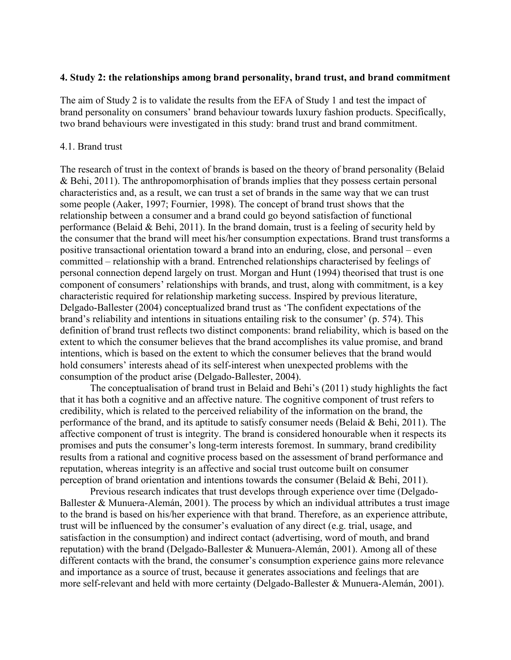## **4. Study 2: the relationships among brand personality, brand trust, and brand commitment**

The aim of Study 2 is to validate the results from the EFA of Study 1 and test the impact of brand personality on consumers' brand behaviour towards luxury fashion products. Specifically, two brand behaviours were investigated in this study: brand trust and brand commitment.

## 4.1. Brand trust

The research of trust in the context of brands is based on the theory of brand personality (Belaid & Behi, 2011). The anthropomorphisation of brands implies that they possess certain personal characteristics and, as a result, we can trust a set of brands in the same way that we can trust some people (Aaker, 1997; Fournier, 1998). The concept of brand trust shows that the relationship between a consumer and a brand could go beyond satisfaction of functional performance (Belaid & Behi, 2011). In the brand domain, trust is a feeling of security held by the consumer that the brand will meet his/her consumption expectations. Brand trust transforms a positive transactional orientation toward a brand into an enduring, close, and personal – even committed – relationship with a brand. Entrenched relationships characterised by feelings of personal connection depend largely on trust. Morgan and Hunt (1994) theorised that trust is one component of consumers' relationships with brands, and trust, along with commitment, is a key characteristic required for relationship marketing success. Inspired by previous literature, Delgado-Ballester (2004) conceptualized brand trust as 'The confident expectations of the brand's reliability and intentions in situations entailing risk to the consumer' (p. 574). This definition of brand trust reflects two distinct components: brand reliability, which is based on the extent to which the consumer believes that the brand accomplishes its value promise, and brand intentions, which is based on the extent to which the consumer believes that the brand would hold consumers' interests ahead of its self-interest when unexpected problems with the consumption of the product arise (Delgado-Ballester, 2004).

The conceptualisation of brand trust in Belaid and Behi's (2011) study highlights the fact that it has both a cognitive and an affective nature. The cognitive component of trust refers to credibility, which is related to the perceived reliability of the information on the brand, the performance of the brand, and its aptitude to satisfy consumer needs (Belaid & Behi, 2011). The affective component of trust is integrity. The brand is considered honourable when it respects its promises and puts the consumer's long-term interests foremost. In summary, brand credibility results from a rational and cognitive process based on the assessment of brand performance and reputation, whereas integrity is an affective and social trust outcome built on consumer perception of brand orientation and intentions towards the consumer (Belaid & Behi, 2011).

Previous research indicates that trust develops through experience over time (Delgado-Ballester & Munuera-Alemán, 2001). The process by which an individual attributes a trust image to the brand is based on his/her experience with that brand. Therefore, as an experience attribute, trust will be influenced by the consumer's evaluation of any direct (e.g. trial, usage, and satisfaction in the consumption) and indirect contact (advertising, word of mouth, and brand reputation) with the brand (Delgado-Ballester & Munuera-Alemán, 2001). Among all of these different contacts with the brand, the consumer's consumption experience gains more relevance and importance as a source of trust, because it generates associations and feelings that are more self-relevant and held with more certainty (Delgado-Ballester & Munuera-Alemán, 2001).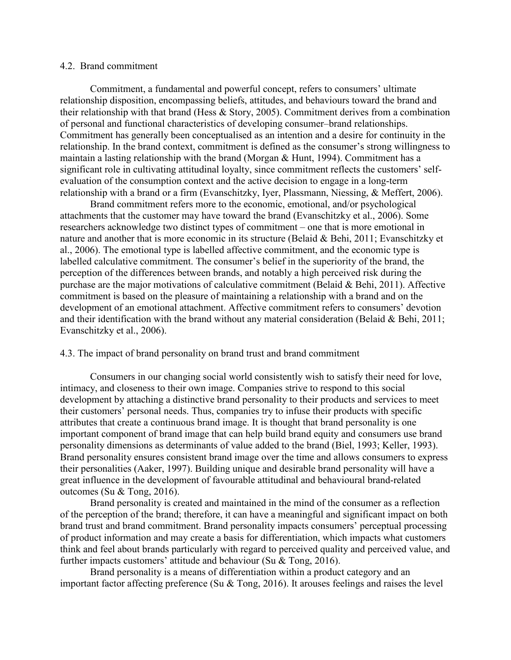## 4.2. Brand commitment

Commitment, a fundamental and powerful concept, refers to consumers' ultimate relationship disposition, encompassing beliefs, attitudes, and behaviours toward the brand and their relationship with that brand (Hess & Story, 2005). Commitment derives from a combination of personal and functional characteristics of developing consumer–brand relationships. Commitment has generally been conceptualised as an intention and a desire for continuity in the relationship. In the brand context, commitment is defined as the consumer's strong willingness to maintain a lasting relationship with the brand (Morgan & Hunt, 1994). Commitment has a significant role in cultivating attitudinal loyalty, since commitment reflects the customers' selfevaluation of the consumption context and the active decision to engage in a long-term relationship with a brand or a firm (Evanschitzky, Iyer, Plassmann, Niessing, & Meffert, 2006).

Brand commitment refers more to the economic, emotional, and/or psychological attachments that the customer may have toward the brand (Evanschitzky et al., 2006). Some researchers acknowledge two distinct types of commitment – one that is more emotional in nature and another that is more economic in its structure (Belaid & Behi, 2011; Evanschitzky et al., 2006). The emotional type is labelled affective commitment, and the economic type is labelled calculative commitment. The consumer's belief in the superiority of the brand, the perception of the differences between brands, and notably a high perceived risk during the purchase are the major motivations of calculative commitment (Belaid & Behi, 2011). Affective commitment is based on the pleasure of maintaining a relationship with a brand and on the development of an emotional attachment. Affective commitment refers to consumers' devotion and their identification with the brand without any material consideration (Belaid & Behi, 2011; Evanschitzky et al., 2006).

#### 4.3. The impact of brand personality on brand trust and brand commitment

Consumers in our changing social world consistently wish to satisfy their need for love, intimacy, and closeness to their own image. Companies strive to respond to this social development by attaching a distinctive brand personality to their products and services to meet their customers' personal needs. Thus, companies try to infuse their products with specific attributes that create a continuous brand image. It is thought that brand personality is one important component of brand image that can help build brand equity and consumers use brand personality dimensions as determinants of value added to the brand (Biel, 1993; Keller, 1993). Brand personality ensures consistent brand image over the time and allows consumers to express their personalities (Aaker, 1997). Building unique and desirable brand personality will have a great influence in the development of favourable attitudinal and behavioural brand-related outcomes (Su & Tong, 2016).

Brand personality is created and maintained in the mind of the consumer as a reflection of the perception of the brand; therefore, it can have a meaningful and significant impact on both brand trust and brand commitment. Brand personality impacts consumers' perceptual processing of product information and may create a basis for differentiation, which impacts what customers think and feel about brands particularly with regard to perceived quality and perceived value, and further impacts customers' attitude and behaviour (Su & Tong, 2016).

Brand personality is a means of differentiation within a product category and an important factor affecting preference (Su & Tong, 2016). It arouses feelings and raises the level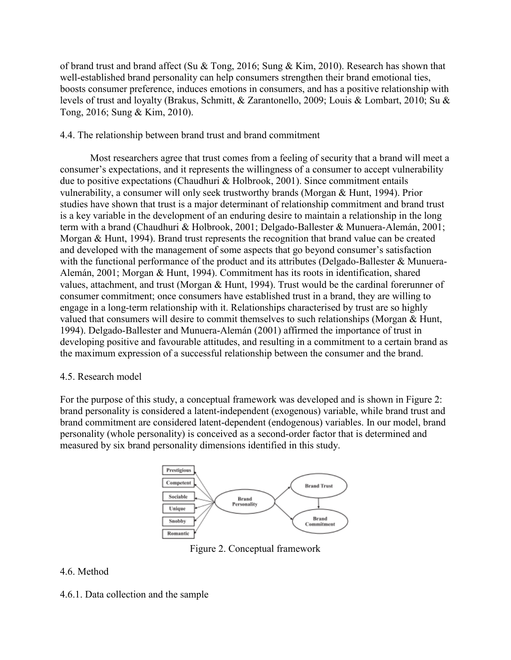of brand trust and brand affect (Su & Tong, 2016; Sung & Kim, 2010). Research has shown that well-established brand personality can help consumers strengthen their brand emotional ties, boosts consumer preference, induces emotions in consumers, and has a positive relationship with levels of trust and loyalty (Brakus, Schmitt, & Zarantonello, 2009; Louis & Lombart, 2010; Su & Tong, 2016; Sung & Kim, 2010).

# 4.4. The relationship between brand trust and brand commitment

Most researchers agree that trust comes from a feeling of security that a brand will meet a consumer's expectations, and it represents the willingness of a consumer to accept vulnerability due to positive expectations (Chaudhuri & Holbrook, 2001). Since commitment entails vulnerability, a consumer will only seek trustworthy brands (Morgan & Hunt, 1994). Prior studies have shown that trust is a major determinant of relationship commitment and brand trust is a key variable in the development of an enduring desire to maintain a relationship in the long term with a brand (Chaudhuri & Holbrook, 2001; Delgado-Ballester & Munuera-Alemán, 2001; Morgan & Hunt, 1994). Brand trust represents the recognition that brand value can be created and developed with the management of some aspects that go beyond consumer's satisfaction with the functional performance of the product and its attributes (Delgado-Ballester & Munuera-Alemán, 2001; Morgan & Hunt, 1994). Commitment has its roots in identification, shared values, attachment, and trust (Morgan & Hunt, 1994). Trust would be the cardinal forerunner of consumer commitment; once consumers have established trust in a brand, they are willing to engage in a long-term relationship with it. Relationships characterised by trust are so highly valued that consumers will desire to commit themselves to such relationships (Morgan & Hunt, 1994). Delgado-Ballester and Munuera-Alemán (2001) affirmed the importance of trust in developing positive and favourable attitudes, and resulting in a commitment to a certain brand as the maximum expression of a successful relationship between the consumer and the brand.

# 4.5. Research model

For the purpose of this study, a conceptual framework was developed and is shown in Figure 2: brand personality is considered a latent-independent (exogenous) variable, while brand trust and brand commitment are considered latent-dependent (endogenous) variables. In our model, brand personality (whole personality) is conceived as a second-order factor that is determined and measured by six brand personality dimensions identified in this study.



Figure 2. Conceptual framework

# 4.6. Method

# 4.6.1. Data collection and the sample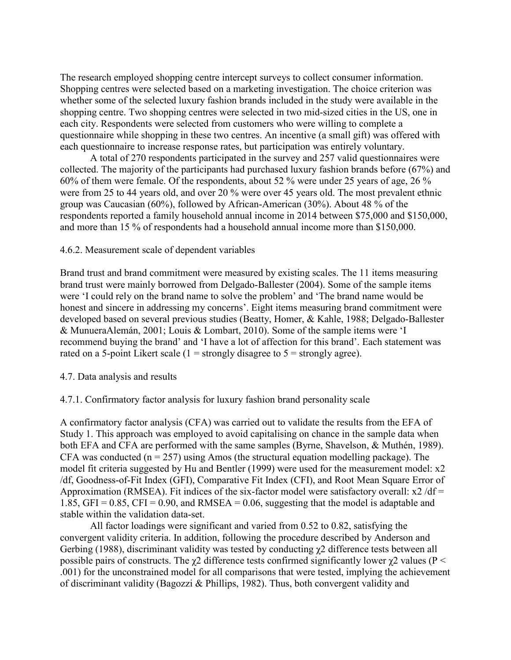The research employed shopping centre intercept surveys to collect consumer information. Shopping centres were selected based on a marketing investigation. The choice criterion was whether some of the selected luxury fashion brands included in the study were available in the shopping centre. Two shopping centres were selected in two mid-sized cities in the US, one in each city. Respondents were selected from customers who were willing to complete a questionnaire while shopping in these two centres. An incentive (a small gift) was offered with each questionnaire to increase response rates, but participation was entirely voluntary.

A total of 270 respondents participated in the survey and 257 valid questionnaires were collected. The majority of the participants had purchased luxury fashion brands before (67%) and 60% of them were female. Of the respondents, about 52 % were under 25 years of age, 26 % were from 25 to 44 years old, and over 20 % were over 45 years old. The most prevalent ethnic group was Caucasian (60%), followed by African-American (30%). About 48 % of the respondents reported a family household annual income in 2014 between \$75,000 and \$150,000, and more than 15 % of respondents had a household annual income more than \$150,000.

## 4.6.2. Measurement scale of dependent variables

Brand trust and brand commitment were measured by existing scales. The 11 items measuring brand trust were mainly borrowed from Delgado-Ballester (2004). Some of the sample items were 'I could rely on the brand name to solve the problem' and 'The brand name would be honest and sincere in addressing my concerns'. Eight items measuring brand commitment were developed based on several previous studies (Beatty, Homer, & Kahle, 1988; Delgado-Ballester & MunueraAlemán, 2001; Louis & Lombart, 2010). Some of the sample items were 'I recommend buying the brand' and 'I have a lot of affection for this brand'. Each statement was rated on a 5-point Likert scale  $(1 =$  strongly disagree to  $5 =$  strongly agree).

# 4.7. Data analysis and results

# 4.7.1. Confirmatory factor analysis for luxury fashion brand personality scale

A confirmatory factor analysis (CFA) was carried out to validate the results from the EFA of Study 1. This approach was employed to avoid capitalising on chance in the sample data when both EFA and CFA are performed with the same samples (Byrne, Shavelson, & Muthén, 1989). CFA was conducted ( $n = 257$ ) using Amos (the structural equation modelling package). The model fit criteria suggested by Hu and Bentler (1999) were used for the measurement model: x2 /df, Goodness-of-Fit Index (GFI), Comparative Fit Index (CFI), and Root Mean Square Error of Approximation (RMSEA). Fit indices of the six-factor model were satisfactory overall:  $x2/df =$ 1.85, GFI = 0.85, CFI = 0.90, and RMSEA = 0.06, suggesting that the model is adaptable and stable within the validation data-set.

All factor loadings were significant and varied from 0.52 to 0.82, satisfying the convergent validity criteria. In addition, following the procedure described by Anderson and Gerbing (1988), discriminant validity was tested by conducting  $\chi$ 2 difference tests between all possible pairs of constructs. The  $\gamma$ 2 difference tests confirmed significantly lower  $\gamma$ 2 values (P < .001) for the unconstrained model for all comparisons that were tested, implying the achievement of discriminant validity (Bagozzi & Phillips, 1982). Thus, both convergent validity and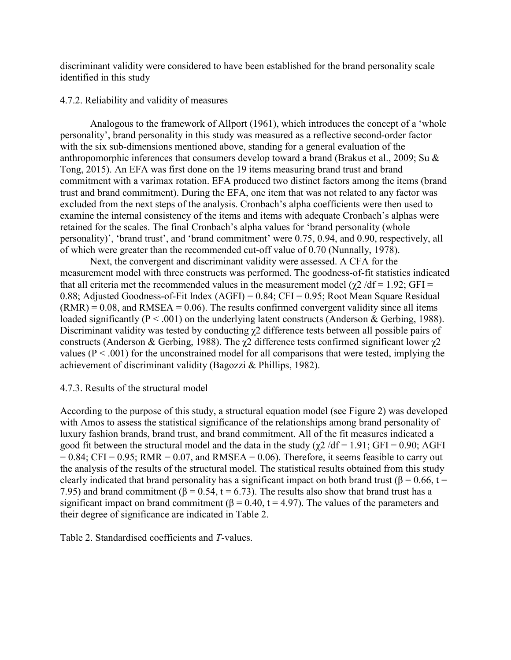discriminant validity were considered to have been established for the brand personality scale identified in this study

## 4.7.2. Reliability and validity of measures

Analogous to the framework of Allport (1961), which introduces the concept of a 'whole personality', brand personality in this study was measured as a reflective second-order factor with the six sub-dimensions mentioned above, standing for a general evaluation of the anthropomorphic inferences that consumers develop toward a brand (Brakus et al., 2009; Su & Tong, 2015). An EFA was first done on the 19 items measuring brand trust and brand commitment with a varimax rotation. EFA produced two distinct factors among the items (brand trust and brand commitment). During the EFA, one item that was not related to any factor was excluded from the next steps of the analysis. Cronbach's alpha coefficients were then used to examine the internal consistency of the items and items with adequate Cronbach's alphas were retained for the scales. The final Cronbach's alpha values for 'brand personality (whole personality)', 'brand trust', and 'brand commitment' were 0.75, 0.94, and 0.90, respectively, all of which were greater than the recommended cut-off value of 0.70 (Nunnally, 1978).

Next, the convergent and discriminant validity were assessed. A CFA for the measurement model with three constructs was performed. The goodness-of-fit statistics indicated that all criteria met the recommended values in the measurement model ( $\chi$ 2 /df = 1.92; GFI = 0.88; Adjusted Goodness-of-Fit Index (AGFI) = 0.84; CFI = 0.95; Root Mean Square Residual  $(RMR) = 0.08$ , and  $RMSEA = 0.06$ ). The results confirmed convergent validity since all items loaded significantly ( $P < .001$ ) on the underlying latent constructs (Anderson & Gerbing, 1988). Discriminant validity was tested by conducting  $\gamma$ 2 difference tests between all possible pairs of constructs (Anderson & Gerbing, 1988). The  $\chi$ 2 difference tests confirmed significant lower  $\chi$ 2 values ( $P < .001$ ) for the unconstrained model for all comparisons that were tested, implying the achievement of discriminant validity (Bagozzi & Phillips, 1982).

# 4.7.3. Results of the structural model

According to the purpose of this study, a structural equation model (see Figure 2) was developed with Amos to assess the statistical significance of the relationships among brand personality of luxury fashion brands, brand trust, and brand commitment. All of the fit measures indicated a good fit between the structural model and the data in the study ( $\gamma$ 2 /df = 1.91; GFI = 0.90; AGFI  $= 0.84$ ; CFI = 0.95; RMR = 0.07, and RMSEA = 0.06). Therefore, it seems feasible to carry out the analysis of the results of the structural model. The statistical results obtained from this study clearly indicated that brand personality has a significant impact on both brand trust ( $\beta$  = 0.66, t = 7.95) and brand commitment ( $\beta$  = 0.54, t = 6.73). The results also show that brand trust has a significant impact on brand commitment ( $\beta$  = 0.40, t = 4.97). The values of the parameters and their degree of significance are indicated in Table 2.

Table 2. Standardised coefficients and *T*-values.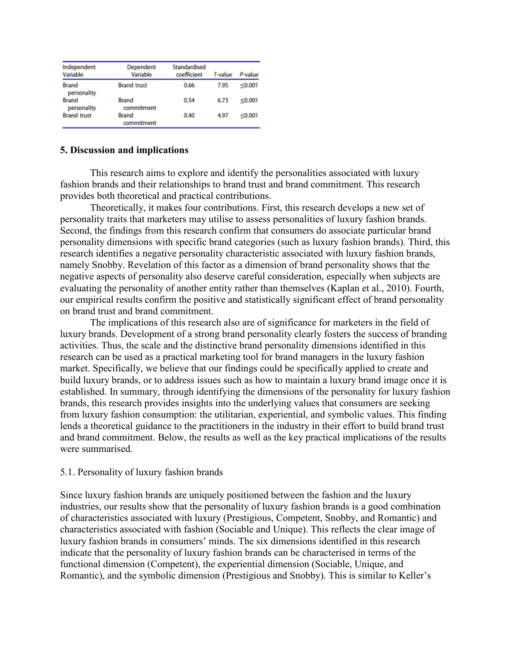| Independent<br>Variable     | Dependent<br>Variable      | <b>Standardised</b><br>coefficient | T-value | P-value |
|-----------------------------|----------------------------|------------------------------------|---------|---------|
| <b>Brand</b><br>personality | <b>Brand trust</b>         | 0.66                               | 7.95    | < 0.001 |
| <b>Brand</b><br>personality | <b>Brand</b><br>commitment | 0.54                               | 6.73    | < 0.001 |
| <b>Brand trust</b>          | <b>Brand</b><br>commitment | 0.40                               | 4.97    | < 0.001 |

# **5. Discussion and implications**

This research aims to explore and identify the personalities associated with luxury fashion brands and their relationships to brand trust and brand commitment. This research provides both theoretical and practical contributions.

Theoretically, it makes four contributions. First, this research develops a new set of personality traits that marketers may utilise to assess personalities of luxury fashion brands. Second, the findings from this research confirm that consumers do associate particular brand personality dimensions with specific brand categories (such as luxury fashion brands). Third, this research identifies a negative personality characteristic associated with luxury fashion brands, namely Snobby. Revelation of this factor as a dimension of brand personality shows that the negative aspects of personality also deserve careful consideration, especially when subjects are evaluating the personality of another entity rather than themselves (Kaplan et al., 2010). Fourth, our empirical results confirm the positive and statistically significant effect of brand personality on brand trust and brand commitment.

The implications of this research also are of significance for marketers in the field of luxury brands. Development of a strong brand personality clearly fosters the success of branding activities. Thus, the scale and the distinctive brand personality dimensions identified in this research can be used as a practical marketing tool for brand managers in the luxury fashion market. Specifically, we believe that our findings could be specifically applied to create and build luxury brands, or to address issues such as how to maintain a luxury brand image once it is established. In summary, through identifying the dimensions of the personality for luxury fashion brands, this research provides insights into the underlying values that consumers are seeking from luxury fashion consumption: the utilitarian, experiential, and symbolic values. This finding lends a theoretical guidance to the practitioners in the industry in their effort to build brand trust and brand commitment. Below, the results as well as the key practical implications of the results were summarised.

# 5.1. Personality of luxury fashion brands

Since luxury fashion brands are uniquely positioned between the fashion and the luxury industries, our results show that the personality of luxury fashion brands is a good combination of characteristics associated with luxury (Prestigious, Competent, Snobby, and Romantic) and characteristics associated with fashion (Sociable and Unique). This reflects the clear image of luxury fashion brands in consumers' minds. The six dimensions identified in this research indicate that the personality of luxury fashion brands can be characterised in terms of the functional dimension (Competent), the experiential dimension (Sociable, Unique, and Romantic), and the symbolic dimension (Prestigious and Snobby). This is similar to Keller's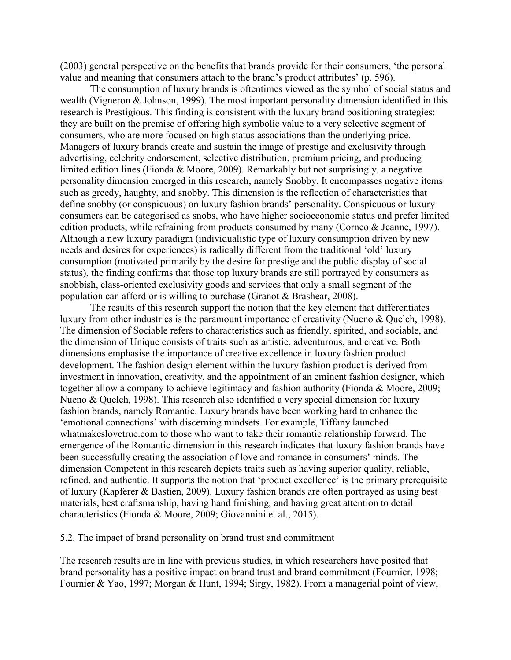(2003) general perspective on the benefits that brands provide for their consumers, 'the personal value and meaning that consumers attach to the brand's product attributes' (p. 596).

The consumption of luxury brands is oftentimes viewed as the symbol of social status and wealth (Vigneron & Johnson, 1999). The most important personality dimension identified in this research is Prestigious. This finding is consistent with the luxury brand positioning strategies: they are built on the premise of offering high symbolic value to a very selective segment of consumers, who are more focused on high status associations than the underlying price. Managers of luxury brands create and sustain the image of prestige and exclusivity through advertising, celebrity endorsement, selective distribution, premium pricing, and producing limited edition lines (Fionda & Moore, 2009). Remarkably but not surprisingly, a negative personality dimension emerged in this research, namely Snobby. It encompasses negative items such as greedy, haughty, and snobby. This dimension is the reflection of characteristics that define snobby (or conspicuous) on luxury fashion brands' personality. Conspicuous or luxury consumers can be categorised as snobs, who have higher socioeconomic status and prefer limited edition products, while refraining from products consumed by many (Corneo & Jeanne, 1997). Although a new luxury paradigm (individualistic type of luxury consumption driven by new needs and desires for experiences) is radically different from the traditional 'old' luxury consumption (motivated primarily by the desire for prestige and the public display of social status), the finding confirms that those top luxury brands are still portrayed by consumers as snobbish, class-oriented exclusivity goods and services that only a small segment of the population can afford or is willing to purchase (Granot & Brashear, 2008).

The results of this research support the notion that the key element that differentiates luxury from other industries is the paramount importance of creativity (Nueno & Quelch, 1998). The dimension of Sociable refers to characteristics such as friendly, spirited, and sociable, and the dimension of Unique consists of traits such as artistic, adventurous, and creative. Both dimensions emphasise the importance of creative excellence in luxury fashion product development. The fashion design element within the luxury fashion product is derived from investment in innovation, creativity, and the appointment of an eminent fashion designer, which together allow a company to achieve legitimacy and fashion authority (Fionda & Moore, 2009; Nueno & Quelch, 1998). This research also identified a very special dimension for luxury fashion brands, namely Romantic. Luxury brands have been working hard to enhance the 'emotional connections' with discerning mindsets. For example, Tiffany launched whatmakeslovetrue.com to those who want to take their romantic relationship forward. The emergence of the Romantic dimension in this research indicates that luxury fashion brands have been successfully creating the association of love and romance in consumers' minds. The dimension Competent in this research depicts traits such as having superior quality, reliable, refined, and authentic. It supports the notion that 'product excellence' is the primary prerequisite of luxury (Kapferer & Bastien, 2009). Luxury fashion brands are often portrayed as using best materials, best craftsmanship, having hand finishing, and having great attention to detail characteristics (Fionda & Moore, 2009; Giovannini et al., 2015).

### 5.2. The impact of brand personality on brand trust and commitment

The research results are in line with previous studies, in which researchers have posited that brand personality has a positive impact on brand trust and brand commitment (Fournier, 1998; Fournier & Yao, 1997; Morgan & Hunt, 1994; Sirgy, 1982). From a managerial point of view,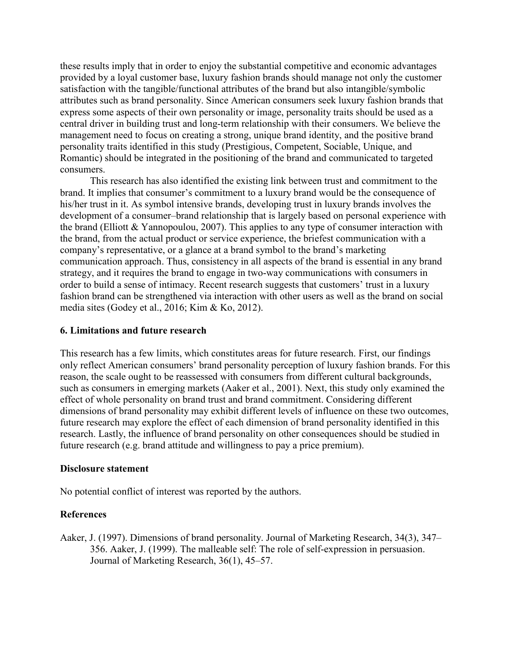these results imply that in order to enjoy the substantial competitive and economic advantages provided by a loyal customer base, luxury fashion brands should manage not only the customer satisfaction with the tangible/functional attributes of the brand but also intangible/symbolic attributes such as brand personality. Since American consumers seek luxury fashion brands that express some aspects of their own personality or image, personality traits should be used as a central driver in building trust and long-term relationship with their consumers. We believe the management need to focus on creating a strong, unique brand identity, and the positive brand personality traits identified in this study (Prestigious, Competent, Sociable, Unique, and Romantic) should be integrated in the positioning of the brand and communicated to targeted consumers.

This research has also identified the existing link between trust and commitment to the brand. It implies that consumer's commitment to a luxury brand would be the consequence of his/her trust in it. As symbol intensive brands, developing trust in luxury brands involves the development of a consumer–brand relationship that is largely based on personal experience with the brand (Elliott & Yannopoulou, 2007). This applies to any type of consumer interaction with the brand, from the actual product or service experience, the briefest communication with a company's representative, or a glance at a brand symbol to the brand's marketing communication approach. Thus, consistency in all aspects of the brand is essential in any brand strategy, and it requires the brand to engage in two-way communications with consumers in order to build a sense of intimacy. Recent research suggests that customers' trust in a luxury fashion brand can be strengthened via interaction with other users as well as the brand on social media sites (Godey et al., 2016; Kim & Ko, 2012).

## **6. Limitations and future research**

This research has a few limits, which constitutes areas for future research. First, our findings only reflect American consumers' brand personality perception of luxury fashion brands. For this reason, the scale ought to be reassessed with consumers from different cultural backgrounds, such as consumers in emerging markets (Aaker et al., 2001). Next, this study only examined the effect of whole personality on brand trust and brand commitment. Considering different dimensions of brand personality may exhibit different levels of influence on these two outcomes, future research may explore the effect of each dimension of brand personality identified in this research. Lastly, the influence of brand personality on other consequences should be studied in future research (e.g. brand attitude and willingness to pay a price premium).

## **Disclosure statement**

No potential conflict of interest was reported by the authors.

## **References**

Aaker, J. (1997). Dimensions of brand personality. Journal of Marketing Research, 34(3), 347– 356. Aaker, J. (1999). The malleable self: The role of self-expression in persuasion. Journal of Marketing Research, 36(1), 45–57.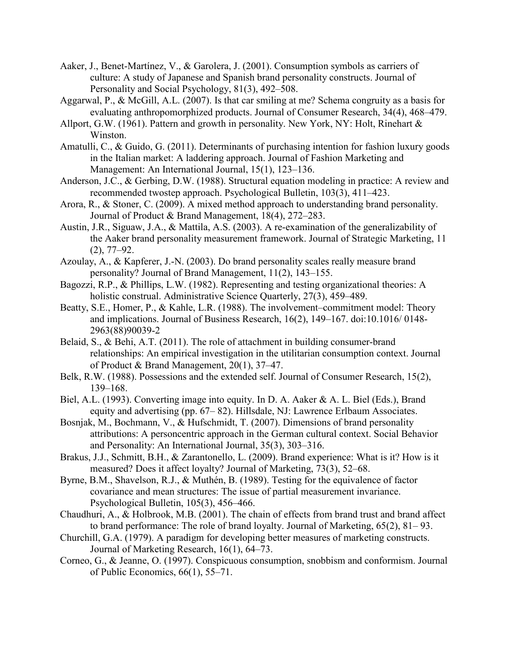- Aaker, J., Benet-Martínez, V., & Garolera, J. (2001). Consumption symbols as carriers of culture: A study of Japanese and Spanish brand personality constructs. Journal of Personality and Social Psychology, 81(3), 492–508.
- Aggarwal, P., & McGill, A.L. (2007). Is that car smiling at me? Schema congruity as a basis for evaluating anthropomorphized products. Journal of Consumer Research, 34(4), 468–479.
- Allport, G.W. (1961). Pattern and growth in personality. New York, NY: Holt, Rinehart & Winston.
- Amatulli, C., & Guido, G. (2011). Determinants of purchasing intention for fashion luxury goods in the Italian market: A laddering approach. Journal of Fashion Marketing and Management: An International Journal, 15(1), 123–136.
- Anderson, J.C., & Gerbing, D.W. (1988). Structural equation modeling in practice: A review and recommended twostep approach. Psychological Bulletin, 103(3), 411–423.
- Arora, R., & Stoner, C. (2009). A mixed method approach to understanding brand personality. Journal of Product & Brand Management, 18(4), 272–283.
- Austin, J.R., Siguaw, J.A., & Mattila, A.S. (2003). A re-examination of the generalizability of the Aaker brand personality measurement framework. Journal of Strategic Marketing, 11 (2), 77–92.
- Azoulay, A., & Kapferer, J.-N. (2003). Do brand personality scales really measure brand personality? Journal of Brand Management, 11(2), 143–155.
- Bagozzi, R.P., & Phillips, L.W. (1982). Representing and testing organizational theories: A holistic construal. Administrative Science Quarterly, 27(3), 459–489.
- Beatty, S.E., Homer, P., & Kahle, L.R. (1988). The involvement–commitment model: Theory and implications. Journal of Business Research, 16(2), 149–167. doi:10.1016/ 0148- 2963(88)90039-2
- Belaid, S., & Behi, A.T. (2011). The role of attachment in building consumer-brand relationships: An empirical investigation in the utilitarian consumption context. Journal of Product & Brand Management, 20(1), 37–47.
- Belk, R.W. (1988). Possessions and the extended self. Journal of Consumer Research, 15(2), 139–168.
- Biel, A.L. (1993). Converting image into equity. In D. A. Aaker & A. L. Biel (Eds.), Brand equity and advertising (pp. 67– 82). Hillsdale, NJ: Lawrence Erlbaum Associates.
- Bosnjak, M., Bochmann, V., & Hufschmidt, T. (2007). Dimensions of brand personality attributions: A personcentric approach in the German cultural context. Social Behavior and Personality: An International Journal, 35(3), 303–316.
- Brakus, J.J., Schmitt, B.H., & Zarantonello, L. (2009). Brand experience: What is it? How is it measured? Does it affect loyalty? Journal of Marketing, 73(3), 52–68.
- Byrne, B.M., Shavelson, R.J., & Muthén, B. (1989). Testing for the equivalence of factor covariance and mean structures: The issue of partial measurement invariance. Psychological Bulletin, 105(3), 456–466.
- Chaudhuri, A., & Holbrook, M.B. (2001). The chain of effects from brand trust and brand affect to brand performance: The role of brand loyalty. Journal of Marketing, 65(2), 81– 93.
- Churchill, G.A. (1979). A paradigm for developing better measures of marketing constructs. Journal of Marketing Research, 16(1), 64–73.
- Corneo, G., & Jeanne, O. (1997). Conspicuous consumption, snobbism and conformism. Journal of Public Economics, 66(1), 55–71.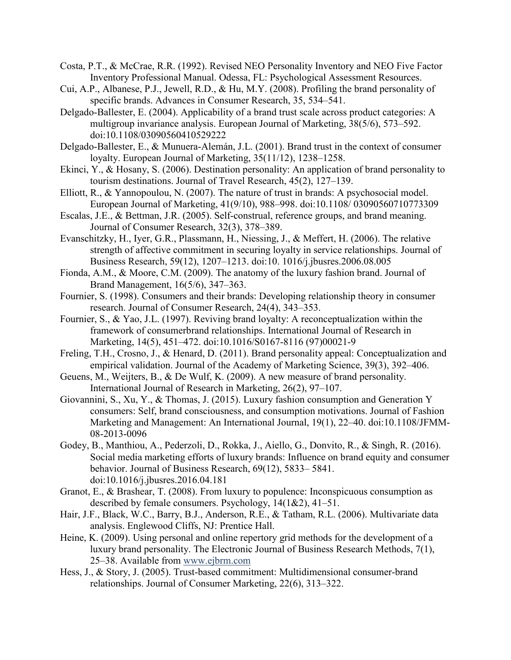- Costa, P.T., & McCrae, R.R. (1992). Revised NEO Personality Inventory and NEO Five Factor Inventory Professional Manual. Odessa, FL: Psychological Assessment Resources.
- Cui, A.P., Albanese, P.J., Jewell, R.D., & Hu, M.Y. (2008). Profiling the brand personality of specific brands. Advances in Consumer Research, 35, 534–541.
- Delgado-Ballester, E. (2004). Applicability of a brand trust scale across product categories: A multigroup invariance analysis. European Journal of Marketing, 38(5/6), 573–592. doi:10.1108/03090560410529222
- Delgado-Ballester, E., & Munuera-Alemán, J.L. (2001). Brand trust in the context of consumer loyalty. European Journal of Marketing, 35(11/12), 1238–1258.
- Ekinci, Y., & Hosany, S. (2006). Destination personality: An application of brand personality to tourism destinations. Journal of Travel Research, 45(2), 127–139.
- Elliott, R., & Yannopoulou, N. (2007). The nature of trust in brands: A psychosocial model. European Journal of Marketing, 41(9/10), 988–998. doi:10.1108/ 03090560710773309
- Escalas, J.E., & Bettman, J.R. (2005). Self-construal, reference groups, and brand meaning. Journal of Consumer Research, 32(3), 378–389.
- Evanschitzky, H., Iyer, G.R., Plassmann, H., Niessing, J., & Meffert, H. (2006). The relative strength of affective commitment in securing loyalty in service relationships. Journal of Business Research, 59(12), 1207–1213. doi:10. 1016/j.jbusres.2006.08.005
- Fionda, A.M., & Moore, C.M. (2009). The anatomy of the luxury fashion brand. Journal of Brand Management, 16(5/6), 347–363.
- Fournier, S. (1998). Consumers and their brands: Developing relationship theory in consumer research. Journal of Consumer Research, 24(4), 343–353.
- Fournier, S., & Yao, J.L. (1997). Reviving brand loyalty: A reconceptualization within the framework of consumerbrand relationships. International Journal of Research in Marketing, 14(5), 451–472. doi:10.1016/S0167-8116 (97)00021-9
- Freling, T.H., Crosno, J., & Henard, D. (2011). Brand personality appeal: Conceptualization and empirical validation. Journal of the Academy of Marketing Science, 39(3), 392–406.
- Geuens, M., Weijters, B., & De Wulf, K. (2009). A new measure of brand personality. International Journal of Research in Marketing, 26(2), 97–107.
- Giovannini, S., Xu, Y., & Thomas, J. (2015). Luxury fashion consumption and Generation Y consumers: Self, brand consciousness, and consumption motivations. Journal of Fashion Marketing and Management: An International Journal, 19(1), 22–40. doi:10.1108/JFMM-08-2013-0096
- Godey, B., Manthiou, A., Pederzoli, D., Rokka, J., Aiello, G., Donvito, R., & Singh, R. (2016). Social media marketing efforts of luxury brands: Influence on brand equity and consumer behavior. Journal of Business Research, 69(12), 5833– 5841. doi:10.1016/j.jbusres.2016.04.181
- Granot, E., & Brashear, T. (2008). From luxury to populence: Inconspicuous consumption as described by female consumers. Psychology, 14(1&2), 41–51.
- Hair, J.F., Black, W.C., Barry, B.J., Anderson, R.E., & Tatham, R.L. (2006). Multivariate data analysis. Englewood Cliffs, NJ: Prentice Hall.
- Heine, K. (2009). Using personal and online repertory grid methods for the development of a luxury brand personality. The Electronic Journal of Business Research Methods, 7(1), 25–38. Available from [www.ejbrm.com](http://www.ejbrm.com/)
- Hess, J., & Story, J. (2005). Trust-based commitment: Multidimensional consumer-brand relationships. Journal of Consumer Marketing, 22(6), 313–322.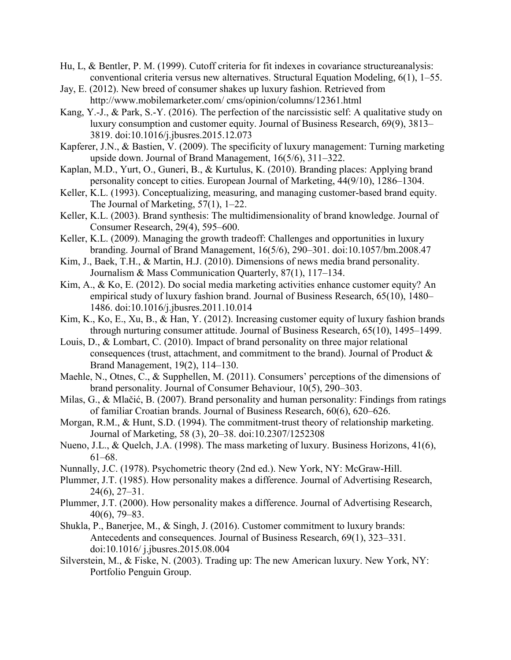- Hu, L, & Bentler, P. M. (1999). Cutoff criteria for fit indexes in covariance structureanalysis: conventional criteria versus new alternatives. Structural Equation Modeling, 6(1), 1–55.
- Jay, E. (2012). New breed of consumer shakes up luxury fashion. Retrieved from http://www.mobilemarketer.com/ cms/opinion/columns/12361.html
- Kang, Y.-J., & Park, S.-Y. (2016). The perfection of the narcissistic self: A qualitative study on luxury consumption and customer equity. Journal of Business Research, 69(9), 3813– 3819. doi:10.1016/j.jbusres.2015.12.073
- Kapferer, J.N., & Bastien, V. (2009). The specificity of luxury management: Turning marketing upside down. Journal of Brand Management, 16(5/6), 311–322.
- Kaplan, M.D., Yurt, O., Guneri, B., & Kurtulus, K. (2010). Branding places: Applying brand personality concept to cities. European Journal of Marketing, 44(9/10), 1286–1304.
- Keller, K.L. (1993). Conceptualizing, measuring, and managing customer-based brand equity. The Journal of Marketing, 57(1), 1–22.
- Keller, K.L. (2003). Brand synthesis: The multidimensionality of brand knowledge. Journal of Consumer Research, 29(4), 595–600.
- Keller, K.L. (2009). Managing the growth tradeoff: Challenges and opportunities in luxury branding. Journal of Brand Management, 16(5/6), 290–301. doi:10.1057/bm.2008.47
- Kim, J., Baek, T.H., & Martin, H.J. (2010). Dimensions of news media brand personality. Journalism & Mass Communication Quarterly, 87(1), 117–134.
- Kim, A., & Ko, E. (2012). Do social media marketing activities enhance customer equity? An empirical study of luxury fashion brand. Journal of Business Research, 65(10), 1480– 1486. doi:10.1016/j.jbusres.2011.10.014
- Kim, K., Ko, E., Xu, B., & Han, Y. (2012). Increasing customer equity of luxury fashion brands through nurturing consumer attitude. Journal of Business Research, 65(10), 1495–1499.
- Louis, D., & Lombart, C. (2010). Impact of brand personality on three major relational consequences (trust, attachment, and commitment to the brand). Journal of Product & Brand Management, 19(2), 114–130.
- Maehle, N., Otnes, C., & Supphellen, M. (2011). Consumers' perceptions of the dimensions of brand personality. Journal of Consumer Behaviour, 10(5), 290–303.
- Milas, G., & Mlačić, B. (2007). Brand personality and human personality: Findings from ratings of familiar Croatian brands. Journal of Business Research, 60(6), 620–626.
- Morgan, R.M., & Hunt, S.D. (1994). The commitment-trust theory of relationship marketing. Journal of Marketing, 58 (3), 20–38. doi:10.2307/1252308
- Nueno, J.L., & Quelch, J.A. (1998). The mass marketing of luxury. Business Horizons, 41(6), 61–68.
- Nunnally, J.C. (1978). Psychometric theory (2nd ed.). New York, NY: McGraw-Hill.
- Plummer, J.T. (1985). How personality makes a difference. Journal of Advertising Research, 24(6), 27–31.
- Plummer, J.T. (2000). How personality makes a difference. Journal of Advertising Research, 40(6), 79–83.
- Shukla, P., Banerjee, M., & Singh, J. (2016). Customer commitment to luxury brands: Antecedents and consequences. Journal of Business Research, 69(1), 323–331. doi:10.1016/ j.jbusres.2015.08.004
- Silverstein, M., & Fiske, N. (2003). Trading up: The new American luxury. New York, NY: Portfolio Penguin Group.